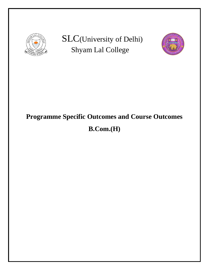

SLC(University of Delhi) Shyam Lal College



# **Programme Specific Outcomes and Course Outcomes**

# **B.Com.(H)**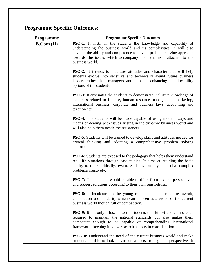## **Programme Specific Outcomes:**

| Programme  | <b>Programme Specific Outcomes</b>                                                                                                                                                                                                                                                                            |
|------------|---------------------------------------------------------------------------------------------------------------------------------------------------------------------------------------------------------------------------------------------------------------------------------------------------------------|
| B. Com (H) | <b>PSO-1:</b> It instil in the students the knowledge and capability of<br>understanding the business world and its complexities. It will also<br>develop the ability and competence to have a problem-solving approach<br>towards the issues which accompany the dynamism attached to the<br>business world. |
|            | <b>PSO-2:</b> It intends to inculcate attitudes and character that will help<br>students evolve into sensitive and technically sound future business<br>leaders rather than managers and aims at enhancing employability<br>options of the students.                                                          |
|            | <b>PSO-3:</b> It envisages the students to demonstrate inclusive knowledge of<br>the areas related to finance, human resource management, marketing,<br>international business, corporate and business laws, accounting and<br>taxation etc.                                                                  |
|            | <b>PSO-4:</b> The students will be made capable of using modern ways and<br>means of dealing with issues arising in the dynamic business world and<br>will also help them tackle the resistances.                                                                                                             |
|            | <b>PSO-5:</b> Students will be trained to develop skills and attitudes needed for<br>critical thinking and adopting a comprehensive problem solving<br>approach.                                                                                                                                              |
|            | <b>PSO-6:</b> Students are exposed to the pedagogy that helps them understand<br>real life situations through case-studies. It aims at building the basic<br>ability to think critically, evaluate dispassionately and solve complex<br>problems creatively.                                                  |
|            | <b>PSO-7:</b> The students would be able to think from diverse perspectives<br>and suggest solutions according to their own sensibilities.                                                                                                                                                                    |
|            | <b>PSO-8:</b> It inculcates in the young minds the qualities of teamwork,<br>cooperation and solidarity which can be seen as a vision of the current<br>business world though full of competition.                                                                                                            |
|            | PSO-9: It not only infuses into the students the skillset and competence<br>required to maintain the national standards but also makes them<br>competent enough to be capable of comprehending international<br>frameworks keeping in view research aspects in consideration.                                 |
|            | <b>PSO-10:</b> Understand the need of the current business world and make<br>students capable to look at various aspects from global perspective. It                                                                                                                                                          |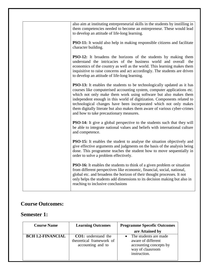| also aim at instituting entrepreneurial skills in the students by instilling in<br>them competencies needed to become an entrepreneur. These would lead<br>to develop an attitude of life-long learning.                                                                                                                                                                                                                                                                                              |
|-------------------------------------------------------------------------------------------------------------------------------------------------------------------------------------------------------------------------------------------------------------------------------------------------------------------------------------------------------------------------------------------------------------------------------------------------------------------------------------------------------|
| <b>PSO-11:</b> It would also help in making responsible citizens and facilitate<br>character building.                                                                                                                                                                                                                                                                                                                                                                                                |
| <b>PSO-12:</b> It broadens the horizons of the students by making them<br>understand the intricacies of the business world and overall the<br>economics of the country as well as the world. This learning makes them<br>inquisitive to raise concerns and act accordingly. The students are driven<br>to develop an attitude of life-long learning.                                                                                                                                                  |
| <b>PSO-13:</b> It enables the students to be technologically updated as it has<br>courses like computerised accounting system, computer applications etc.<br>which not only make them work using software but also makes them<br>independent enough in this world of digitization. Components related to<br>technological changes have been incorporated which not only makes<br>them digitally literate but also makes them aware of various cyber-crimes<br>and how to take precautionary measures. |
| <b>PSO-14:</b> It give a global perspective to the students such that they will<br>be able to integrate national values and beliefs with international culture<br>and competence.                                                                                                                                                                                                                                                                                                                     |
| <b>PSO-15:</b> It enables the student to analyse the situation objectively and<br>give effective arguments and judgments on the basis of the analysis being<br>done. This programme teaches the student how to move sequentially in<br>order to solve a problem effectively.                                                                                                                                                                                                                          |
| <b>PSO-16:</b> It enables the students to think of a given problem or situation<br>from different perspectives like economic, financial, social, national,<br>global etc. and broadens the horizon of their thought processes. It not<br>only helps the students add dimensions to its decision making but also in<br>reaching to inclusive conclusions                                                                                                                                               |

#### **Course Outcomes:**

#### **Semester 1:**

| <b>Course Name</b>       | <b>Learning Outcomes</b>                                                    | <b>Programme Specefic Outcomes</b>                                                                        |
|--------------------------|-----------------------------------------------------------------------------|-----------------------------------------------------------------------------------------------------------|
|                          |                                                                             | are Attained by                                                                                           |
| <b>BCH 1.2-FINANCIAL</b> | <b>CO1:</b> understand the<br>theoretical framework of<br>accounting and to | The students are made<br>aware of different<br>accounting concepts by<br>way of claasroom<br>instruction. |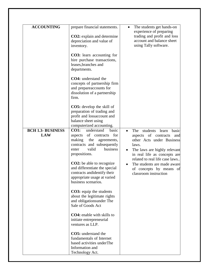| <b>ACCOUNTING</b>                      | prepare financial statements.                                                                                                                                                  | The students get hands-on                                                                                                                                              |
|----------------------------------------|--------------------------------------------------------------------------------------------------------------------------------------------------------------------------------|------------------------------------------------------------------------------------------------------------------------------------------------------------------------|
|                                        | <b>CO2</b> : explain and determine<br>depreciation and value of<br>inventory.                                                                                                  | experience of preparing<br>trading and profit and loss<br>account and balance sheet<br>using Tally software.                                                           |
|                                        | <b>CO3</b> : learn accounting for<br>hire purchase transactions,<br>leases, branches and<br>departments.                                                                       |                                                                                                                                                                        |
|                                        | <b>CO4:</b> understand the<br>concepts of partnership firm<br>and prepareaccounts for<br>dissolution of a partnership<br>firm.                                                 |                                                                                                                                                                        |
|                                        | <b>CO5:</b> develop the skill of<br>preparation of trading and<br>profit and lossaccount and<br>balance sheet using<br>computerized accounting.                                |                                                                                                                                                                        |
| <b>BCH 1.3- BUSINESS</b><br><b>LAW</b> | <b>CO1:</b><br>understand<br>basic<br>aspects of contracts<br>for<br>making<br>the<br>agreements,<br>contracts and subsequently<br>valid<br>business<br>enter<br>propositions. | students<br>The<br>learn<br>basic<br>aspects of contracts<br>and<br>other Acts under Business<br>laws.<br>The laws are highly relevant<br>in real life as concepts are |
|                                        | <b>CO2</b> : be able to recognize<br>and differentiate the special<br>contracts and identify their<br>appropriate usage at varied<br>business scenarios.                       | related to real life case laws<br>The students are made aware<br>of concepts by means of<br>classroom instruction                                                      |
|                                        | <b>CO3</b> : equip the students<br>about the legitimate rights<br>and obligationsunder The<br>Sale of Goods Act                                                                |                                                                                                                                                                        |
|                                        | <b>CO4</b> : enable with skills to<br>initiate entrepreneurial<br>ventures as LLP.                                                                                             |                                                                                                                                                                        |
|                                        | <b>CO5:</b> understand the<br>fundamentals of Internet<br>based activities underThe<br>Information and<br>Technology Act.                                                      |                                                                                                                                                                        |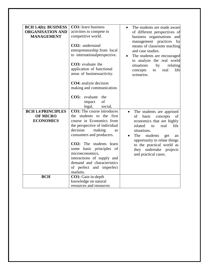| <b>BCH 1.4(b): BUSINESS</b><br><b>ORGANISATION AND</b><br><b>MANAGEMENT</b> | <b>CO1:</b> learn business<br>activities to compete in<br>competitive world.<br>CO2: understand<br>entrepreneurship from local<br>to international perspective.<br>CO3: evaluate the<br>application of functional<br>areas of businessactivity.<br><b>CO4:</b> analyze decision<br>making and communication.<br>evaluate<br>CO5:<br>the<br>of<br>impact<br>legal,<br>social, | The students are made aware<br>of different perspectives of<br>business organisations and<br>management practices<br>by<br>means of classroom teaching<br>and case studies.<br>The students are encouraged<br>to analyze the real world<br>situations<br>by<br>relating<br>real<br>life<br>concepts<br>to<br>scenarios. |
|-----------------------------------------------------------------------------|------------------------------------------------------------------------------------------------------------------------------------------------------------------------------------------------------------------------------------------------------------------------------------------------------------------------------------------------------------------------------|-------------------------------------------------------------------------------------------------------------------------------------------------------------------------------------------------------------------------------------------------------------------------------------------------------------------------|
| <b>BCH 1.4 PRINCIPLES</b><br><b>OF MICRO</b><br><b>ECONOMICS</b>            | <b>CO1:</b> The course introduces<br>the students to the first<br>course in Economics from<br>the perspective of individual<br>decision<br>making<br>as<br>consumers and producers.<br>CO2: The students learn<br>some basic principles of<br>microeconomics,<br>interactions of supply and<br>demand and characteristics<br>of perfect and imperfect<br>markets.            | The students are apprised<br>$\bullet$<br>basic<br>of<br>concepts<br>of<br>economics that are highly<br>related<br>real<br>life<br>to<br>situations.<br>The<br>students<br>get<br>an<br>opportunity to relate things<br>to the practical world as<br>they undertake projects<br>and practical cases.                    |
| <b>BCH</b>                                                                  | CO1: Gain in-depth<br>knowledge on natural<br>resources and resources                                                                                                                                                                                                                                                                                                        |                                                                                                                                                                                                                                                                                                                         |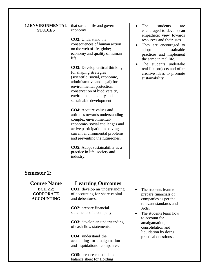| 1.1ENVIRONMENTAL<br><b>STUDIES</b> | that sustain life and govern<br>economy<br><b>CO2</b> : Understand the<br>consequences of human action<br>on the web oflife, globe;<br>economy and quality of human<br>life<br><b>CO3:</b> Develop critical thinking<br>for shaping strategies<br>(scientific, social, economic,<br>administrative and legal) for<br>environmental protection,<br>conservation of biodiversity,<br>environmental equity and<br>sustainable development | The<br>students<br>are<br>$\bullet$<br>encouraged to develop an<br>empathetic view towards<br>resources and their uses.<br>They are encouraged to<br>adopt<br>sustainable<br>practices and implement<br>the same in real life.<br>The students undertake<br>real life projects and offer<br>creative ideas to promote<br>sustainability. |
|------------------------------------|----------------------------------------------------------------------------------------------------------------------------------------------------------------------------------------------------------------------------------------------------------------------------------------------------------------------------------------------------------------------------------------------------------------------------------------|------------------------------------------------------------------------------------------------------------------------------------------------------------------------------------------------------------------------------------------------------------------------------------------------------------------------------------------|
|                                    | <b>CO4:</b> Acquire values and<br>attitudes towards understanding<br>complex environmental-<br>economic-social challenges and<br>active participationin solving<br>current environmental problems<br>and preventing the futureones.<br><b>CO5</b> : Adopt sustainability as a<br>practice in life, society and<br>industry.                                                                                                            |                                                                                                                                                                                                                                                                                                                                          |

#### **Semester 2:**

| <b>Course Name</b>                                       | <b>Learning Outcomes</b>                                                                    |                                                                                                               |
|----------------------------------------------------------|---------------------------------------------------------------------------------------------|---------------------------------------------------------------------------------------------------------------|
| <b>BCH 2.2:</b><br><b>CORPORATE</b><br><b>ACCOUNTING</b> | <b>CO1:</b> develop an understanding<br>of accounting for share capital<br>and debentures.  | The students learn to<br>$\bullet$<br>prepare financials of<br>companies as per the<br>relevant standards and |
|                                                          | <b>CO2</b> : prepare financial<br>statements of a company.                                  | Acts.<br>The students learn how<br>to account for                                                             |
|                                                          | <b>CO3</b> : develop an understanding<br>of cash flow statements.                           | amalgamation,<br>consolidation and<br>liquidation by doing                                                    |
|                                                          | <b>CO4</b> : understand the<br>accounting for amalgamation<br>and liquidation of companies. | practical questions.                                                                                          |
|                                                          | <b>CO5</b> : prepare consolidated<br>balance sheet for Holding                              |                                                                                                               |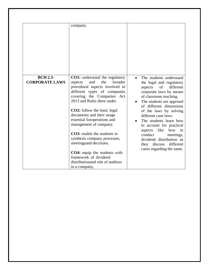| <b>BCH 2.3-</b>       | company.<br><b>CO1:</b> understand the regulatory                                                                                                                                                                                                                                                                                                                                                                                                                                                            | The students understand<br>$\bullet$                                                                                                                                                                                                                                                                                                                                                                                   |
|-----------------------|--------------------------------------------------------------------------------------------------------------------------------------------------------------------------------------------------------------------------------------------------------------------------------------------------------------------------------------------------------------------------------------------------------------------------------------------------------------------------------------------------------------|------------------------------------------------------------------------------------------------------------------------------------------------------------------------------------------------------------------------------------------------------------------------------------------------------------------------------------------------------------------------------------------------------------------------|
| <b>CORPORATE LAWS</b> | the<br>and<br>broader<br>aspects<br>procedural aspects involved in<br>different types of companies<br>covering the Companies Act<br>2013 and Rules there under.<br><b>CO2</b> : follow the basic legal<br>documents and their usage<br>essential foroperations and<br>management of company.<br><b>CO3</b> : enable the students to<br>synthesis company processes,<br>meetingsand decisions.<br>CO4: equip the students with<br>framework of dividend<br>distribution and role of auditors<br>in a company. | the legal and regulatory<br>different<br>of<br>aspects<br>corporate laws by means<br>of classroom teaching.<br>The students are apprised<br>of different dimensions<br>of the laws by solving<br>different case laws.<br>The students learn how<br>to account for practical<br>like<br>how to<br>aspects<br>conduct<br>meetings,<br>dividend distribution as<br>different<br>they discuss<br>cases regarding the same. |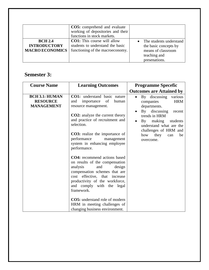|                                                                 | <b>CO5:</b> comprehend and evaluate<br>working of depositories and their<br>functions in stock markets.    |                                                                                                         |
|-----------------------------------------------------------------|------------------------------------------------------------------------------------------------------------|---------------------------------------------------------------------------------------------------------|
| <b>BCH 2.4</b><br><b>INTRODUCTORY</b><br><b>MACRO ECONOMICS</b> | <b>CO1:</b> This course will allow<br>students to understand the basic<br>functioning of the macroeconomy. | The students understand<br>the basic concepts by<br>means of classroom<br>teaching and<br>presenations. |

#### **Semester 3:**

| <b>Course Name</b>                                            | <b>Learning Outcomes</b>                                                                                                                                                                                                                                                                                                                                                     | <b>Programme Specefic</b>                                                                                                                                                                                                                                    |
|---------------------------------------------------------------|------------------------------------------------------------------------------------------------------------------------------------------------------------------------------------------------------------------------------------------------------------------------------------------------------------------------------------------------------------------------------|--------------------------------------------------------------------------------------------------------------------------------------------------------------------------------------------------------------------------------------------------------------|
|                                                               |                                                                                                                                                                                                                                                                                                                                                                              | <b>Outcomes are Attained by</b>                                                                                                                                                                                                                              |
| <b>BCH 3.1: HUMAN</b><br><b>RESOURCE</b><br><b>MANAGEMENT</b> | <b>CO1:</b> understand basic nature<br>of<br>importance<br>human<br>and<br>resource management.<br><b>CO2:</b> analyze the current theory<br>and practice of recruitment and<br>selection.<br><b>CO3:</b> realize the importance of<br>performance<br>management<br>system in enhancing employee                                                                             | By discussing<br>various<br>$\bullet$<br><b>HRM</b><br>companies<br>departments.<br>By discussing<br>recent<br>trends in HRM<br>By making students<br>$\bullet$<br>understand what are the<br>challenges of HRM and<br>how<br>they<br>be<br>can<br>overcome. |
|                                                               | performance.<br><b>CO4:</b> recommend actions based<br>on results of the compensation<br>analysis<br>and<br>design<br>compensation schemes that are<br>cost effective, that increase<br>productivity of the workforce,<br>and comply with the legal<br>framework.<br><b>CO5:</b> understand role of modern<br>HRM in meeting challenges of<br>changing business environment. |                                                                                                                                                                                                                                                              |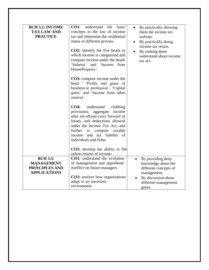| <b>BCH 3.2: INCOME</b><br><b>TAX LAW AND</b><br><b>PRACTICE</b> | <b>CO1:</b><br>understand<br>the<br>basic<br>concepts in the law of income<br>tax and determine the residential<br>status of different persons.<br><b>CO2</b> : identify the five heads in<br>which income is categorised and<br>compute income under the heads<br>'Salaries' and 'Income from<br>HouseProperty'.<br><b>CO3</b> : compute income under the<br>head ' Profits and gains of<br>business or profession', 'Capital<br>gains' and 'Income from other<br>sources'.<br><b>CO4:</b><br>understand<br>clubbing<br>provisions, aggregate<br>income<br>after set-offand carry forward of<br>losses, and deductions allowed<br>under the Income Tax Act; and<br>further<br>taxable<br>compute<br>to<br>income and tax liability of | By practically showing<br>them the income tax<br>website.<br>By practically doing<br>income tax return.<br>By making them<br>understand about income<br>tax act. |
|-----------------------------------------------------------------|----------------------------------------------------------------------------------------------------------------------------------------------------------------------------------------------------------------------------------------------------------------------------------------------------------------------------------------------------------------------------------------------------------------------------------------------------------------------------------------------------------------------------------------------------------------------------------------------------------------------------------------------------------------------------------------------------------------------------------------|------------------------------------------------------------------------------------------------------------------------------------------------------------------|
|                                                                 | individuals and firms.<br><b>CO5:</b> develop the ability to file<br>online returns of income.                                                                                                                                                                                                                                                                                                                                                                                                                                                                                                                                                                                                                                         |                                                                                                                                                                  |
| <b>BCH 3.3:</b>                                                 |                                                                                                                                                                                                                                                                                                                                                                                                                                                                                                                                                                                                                                                                                                                                        |                                                                                                                                                                  |
|                                                                 | <b>CO1:</b> understand the evolution                                                                                                                                                                                                                                                                                                                                                                                                                                                                                                                                                                                                                                                                                                   | By providing deep                                                                                                                                                |
| <b>MANAGEMENT</b>                                               | of management and apprehend                                                                                                                                                                                                                                                                                                                                                                                                                                                                                                                                                                                                                                                                                                            | knowledge about the                                                                                                                                              |
| PRINCIPLES AND<br><b>APPLICATIONS</b>                           | itseffect on future managers.                                                                                                                                                                                                                                                                                                                                                                                                                                                                                                                                                                                                                                                                                                          | different concepts of                                                                                                                                            |
|                                                                 | <b>CO2</b> : analyze how organisations<br>adapt to an uncertain<br>environment                                                                                                                                                                                                                                                                                                                                                                                                                                                                                                                                                                                                                                                         | management.<br>By discussion about<br>different management<br>gurus.                                                                                             |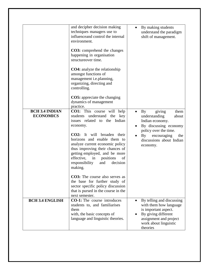| <b>BCH 3.4 INDIAN</b><br><b>ECONOMICS</b> | and decipher decision making<br>techniques managers use to<br>influence and control the internal<br>environment.<br><b>CO3:</b> comprehend the changes<br>happening in organisation<br>structureover time.<br><b>CO4</b> : analyze the relationship<br>amongst functions of<br>management i.e.planning,<br>organizing, directing and<br>controlling.<br><b>CO5:</b> appreciate the changing<br>dynamics of management<br>practice.<br>CO1: This course will help<br>understand<br>the<br>students<br>key<br>issues related to the Indian<br>economy.<br><b>CO2:</b> It will broaden their<br>horizons and enable them to<br>analyze current economic policy<br>thus improving their chances of<br>getting employed, and be more<br>effective, in<br>positions<br>of<br>decision<br>responsibility<br>and<br>making. | By making students<br>understand the paradigm<br>shift of management.<br>giving<br>them<br>By<br>understanding<br>about<br>Indian economy.<br>By discussing economy<br>policy over the time.<br>$\mathbf{By}$<br>encouraging<br>the<br>discussions about Indian<br>economy. |
|-------------------------------------------|---------------------------------------------------------------------------------------------------------------------------------------------------------------------------------------------------------------------------------------------------------------------------------------------------------------------------------------------------------------------------------------------------------------------------------------------------------------------------------------------------------------------------------------------------------------------------------------------------------------------------------------------------------------------------------------------------------------------------------------------------------------------------------------------------------------------|-----------------------------------------------------------------------------------------------------------------------------------------------------------------------------------------------------------------------------------------------------------------------------|
|                                           | <b>CO3</b> : The course also serves as<br>the base for further study of<br>sector specific policy discussion<br>that is pursed in the course in the                                                                                                                                                                                                                                                                                                                                                                                                                                                                                                                                                                                                                                                                 |                                                                                                                                                                                                                                                                             |
| <b>BCH 3.4 ENGLISH</b>                    | next semester.<br><b>CO-1:</b> The course introduces<br>students to, and familiarises<br>them<br>with, the basic concepts of<br>language and linguistic theories.                                                                                                                                                                                                                                                                                                                                                                                                                                                                                                                                                                                                                                                   | By telling and discussing<br>with them how language<br>is important aspect.<br>By giving different<br>assignment and project<br>work about linguistic<br>theories                                                                                                           |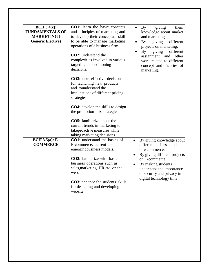| <b>BCH 3.4(c):</b><br><b>FUNDAMENTALS OF</b> | <b>CO1:</b> learn the basic concepts<br>and principles of marketing and                                                                                                                                | giving<br>By<br>them                                                                                                                                                    |
|----------------------------------------------|--------------------------------------------------------------------------------------------------------------------------------------------------------------------------------------------------------|-------------------------------------------------------------------------------------------------------------------------------------------------------------------------|
|                                              |                                                                                                                                                                                                        | knowledge about market                                                                                                                                                  |
| <b>MARKETING (</b>                           | to develop their conceptual skill                                                                                                                                                                      | and marketing.                                                                                                                                                          |
| <b>Generic Elective</b> )                    | to be able to manage marketing                                                                                                                                                                         | different<br>By<br>giving                                                                                                                                               |
|                                              | operations of a business firm.                                                                                                                                                                         | projects on marketing.                                                                                                                                                  |
|                                              | <b>CO2</b> : understand the<br>complexities involved in various<br>targeting and positioning<br>decisions.                                                                                             | different<br>By<br>giving<br>assignment and<br>other<br>work related to different<br>concept and theories of<br>marketing.                                              |
|                                              | <b>CO3:</b> take effective decisions<br>for launching new products<br>and tounderstand the<br>implications of different pricing<br>strategies.                                                         |                                                                                                                                                                         |
|                                              | <b>CO4:</b> develop the skills to design                                                                                                                                                               |                                                                                                                                                                         |
|                                              | the promotion-mix strategies                                                                                                                                                                           |                                                                                                                                                                         |
|                                              | <b>CO5:</b> familiarize about the<br>current trends in marketing to<br>takeproactive measures while<br>taking marketing decisions                                                                      |                                                                                                                                                                         |
| $BCH 3.5(a)$ : E-                            | <b>CO1:</b> understand the basics of                                                                                                                                                                   | By giving knowledge about                                                                                                                                               |
| <b>COMMERCE</b>                              | E-commerce, current and                                                                                                                                                                                | different business models                                                                                                                                               |
|                                              | emergingbusiness models.                                                                                                                                                                               | of e commerce.                                                                                                                                                          |
|                                              | <b>CO2</b> : familarize with basic<br>business operations such as<br>sales, marketing, HR etc. on the<br>web.<br><b>CO3</b> : enhance the students' skills<br>for designing and developing<br>website. | By giving different projects<br>$\bullet$<br>on E-commerce.<br>By making students<br>understand the importance<br>of security and privacy in<br>digital technology time |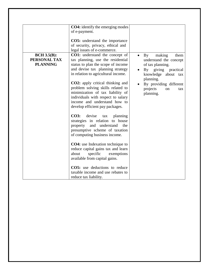|                    | <b>CO4:</b> identify the emerging modes  |                                 |
|--------------------|------------------------------------------|---------------------------------|
|                    | of e-payment.                            |                                 |
|                    |                                          |                                 |
|                    | <b>CO5:</b> understand the importance    |                                 |
|                    | of security, privacy, ethical and        |                                 |
|                    | legal issues of e-commerce.              |                                 |
| <b>BCH 3.5(B):</b> | <b>CO1:</b> understand the concept of    | making<br>$\mathbf{By}$<br>them |
| PERSONAL TAX       | tax planning, use the residential        | understand the concept          |
| <b>PLANNING</b>    | status to plan the scope of income       | of tax planning.                |
|                    | and devise tax planning strategy         | By giving practical             |
|                    | in relation to agricultural income.      | knowledge about tax             |
|                    |                                          | planning.                       |
|                    | <b>CO2</b> : apply critical thinking and | By providing different          |
|                    | problem solving skills related to        | projects<br>on<br>tax           |
|                    | minimization of tax liability of         | planning.                       |
|                    | individuals with respect to salary       |                                 |
|                    | income and understand how to             |                                 |
|                    | develop efficient pay packages.          |                                 |
|                    |                                          |                                 |
|                    | <b>CO3:</b><br>devise<br>tax<br>planning |                                 |
|                    | strategies in relation to house          |                                 |
|                    | property and understand the              |                                 |
|                    | presumptive scheme of taxation           |                                 |
|                    | of computing business income.            |                                 |
|                    |                                          |                                 |
|                    | <b>CO4:</b> use Indexation technique to  |                                 |
|                    | reduce capital gains tax and learn       |                                 |
|                    | about<br>specific<br>exemptions          |                                 |
|                    | available from capital gains.            |                                 |
|                    | <b>CO5:</b> use deductions to reduce     |                                 |
|                    | taxable income and use rebates to        |                                 |
|                    |                                          |                                 |
|                    | reduce tax liability.                    |                                 |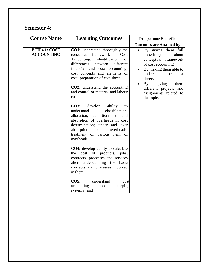### **Semester 4:**

| <b>Course Name</b>                        | <b>Learning Outcomes</b>                                                                                                                                                                                                                                                                                                                 | <b>Programme Specefic</b>                                                                                                                                                                                                                            |
|-------------------------------------------|------------------------------------------------------------------------------------------------------------------------------------------------------------------------------------------------------------------------------------------------------------------------------------------------------------------------------------------|------------------------------------------------------------------------------------------------------------------------------------------------------------------------------------------------------------------------------------------------------|
|                                           |                                                                                                                                                                                                                                                                                                                                          | <b>Outcomes are Attained by</b>                                                                                                                                                                                                                      |
| <b>BCH 4.1: COST</b><br><b>ACCOUNTING</b> | CO1: understand thoroughly the<br>conceptual framework of Cost<br>Accounting; identification<br>of<br>differences<br>different<br>between<br>financial and cost accounting;<br>cost concepts and elements of<br>cost; preparation of cost sheet.<br><b>CO2:</b> understand the accounting<br>and control of material and labour<br>cost. | By giving them full<br>knowledge<br>about<br>conceptual framework<br>of cost accounting.<br>By making them able to<br>understand<br>the<br>cost<br>sheets.<br>giving<br>By<br>them<br>different projects and<br>assignments related to<br>the topic. |
|                                           | develop<br><b>CO3:</b><br>ability<br>to<br>classification,<br>understand<br>allocation, apportionment<br>and<br>absorption of overheads in cost<br>determination; under and over<br>of<br>absorption<br>overheads;<br>treatment of various item of<br>overheads.                                                                         |                                                                                                                                                                                                                                                      |
|                                           | <b>CO4:</b> develop ability to calculate<br>of products, jobs,<br>cost<br>the<br>contracts, processes and services<br>after understanding the<br>basic<br>concepts and processes involved<br>in them.                                                                                                                                    |                                                                                                                                                                                                                                                      |
|                                           | $CO5$ :<br>understand<br>cost<br>book<br>accounting<br>keeping<br>systems and                                                                                                                                                                                                                                                            |                                                                                                                                                                                                                                                      |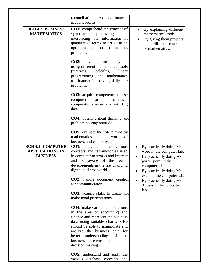|                                                                       | reconciliation of cost and financial<br>account profits                                                                                                                                                                                                                                                          |                                                                                                                                                                |
|-----------------------------------------------------------------------|------------------------------------------------------------------------------------------------------------------------------------------------------------------------------------------------------------------------------------------------------------------------------------------------------------------|----------------------------------------------------------------------------------------------------------------------------------------------------------------|
| <b>BCH 4.2: BUSINESS</b><br><b>MATHEMATICS</b>                        | <b>CO1:</b> comprehend the concept of<br>systematic<br>processing<br>and<br>interpreting the information in<br>quantitative terms to arrive at an<br>optimum solution to business<br>problems.                                                                                                                   | By explaining different<br>mathematical tools.<br>By giving them projects<br>about different concepts<br>of mathemativs.                                       |
|                                                                       | <b>CO2:</b> develop proficiency in<br>using different mathematical tools<br>(matrices,<br>calculus,<br>linear<br>programming, and mathematics<br>of finance) in solving daily life<br>problems.                                                                                                                  |                                                                                                                                                                |
|                                                                       | <b>CO3:</b> acquire competence to use<br>computer<br>for<br>mathematical<br>computations, especially with Big<br>data.                                                                                                                                                                                           |                                                                                                                                                                |
|                                                                       | <b>CO4</b> : obtain critical thinking and<br>problem-solving aptitude.                                                                                                                                                                                                                                           |                                                                                                                                                                |
|                                                                       | <b>CO5:</b> evaluate the role played by<br>mathematics in the world of<br>business and economy.                                                                                                                                                                                                                  |                                                                                                                                                                |
| <b>BCH 4.3: COMPUTER</b><br><b>APPLICATIONS IN</b><br><b>BUSINESS</b> | <b>CO1:</b> understand the<br>various<br>concepts and terminologies used<br>in computer networks and internet<br>and be aware of the recent<br>developments in the fast changing<br>digital business world.                                                                                                      | By practically doing Ms<br>$\bullet$<br>word in the computer lab.<br>By practically doing Ms<br>power point in the<br>computer lab.<br>By practically doing Ms |
|                                                                       | CO2: handle document creation<br>for communication.                                                                                                                                                                                                                                                              | excel in the computer lab.<br>By practically doing Ms<br>Access in the computer                                                                                |
|                                                                       | CO3: acquire skills to create and<br>make good presentations.                                                                                                                                                                                                                                                    | lab.                                                                                                                                                           |
|                                                                       | <b>CO4:</b> make various computations<br>in the area of accounting and<br>finance and represent the business<br>data using suitable charts. S/He<br>should be able to manipulate and<br>analyze the business data for<br>better understanding<br>of<br>the<br>environment<br>business<br>and<br>decision making. |                                                                                                                                                                |
|                                                                       | CO5: understand and apply the<br>various database concepts and                                                                                                                                                                                                                                                   |                                                                                                                                                                |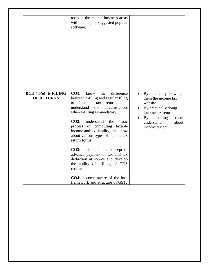|                                                 | tools in the related business areas<br>with the help of suggested popular<br>software.                                                                                                                                                                                                                                                                                                                                                                                                                                                                                                              |                                                                                                                                                                                                                                      |
|-------------------------------------------------|-----------------------------------------------------------------------------------------------------------------------------------------------------------------------------------------------------------------------------------------------------------------------------------------------------------------------------------------------------------------------------------------------------------------------------------------------------------------------------------------------------------------------------------------------------------------------------------------------------|--------------------------------------------------------------------------------------------------------------------------------------------------------------------------------------------------------------------------------------|
| $BCH$ 4.5 $(e)$ : E-FILING<br><b>OF RETURNS</b> | difference<br>the<br><b>CO1:</b><br>know<br>between e-filing and regular filing<br>Income<br>tax<br>returns<br>and<br>οf<br>understand<br>the<br>circumstances<br>when e-filling is mandatory.<br>$CO2$ :<br>understand<br>the<br>basic<br>process of computing taxable<br>income andtax liability, and know<br>about various types of income tax<br>return forms.<br>CO3: understand the concept of<br>advance payment of tax and tax<br>deduction at source and develop<br>the ability of e-filing of TDS<br>returns.<br><b>CO4:</b> become aware of the basic<br>framework and structure of GST, | By practically showing<br>$\bullet$<br>them the income tax<br>website.<br>By practically doing<br>$\bullet$<br>income tax return.<br>$\mathbf{B}\mathbf{v}$<br>making<br>them<br>$\bullet$<br>understand<br>about<br>income tax act. |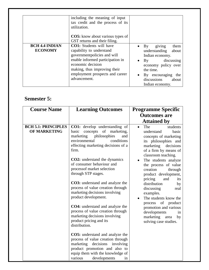|                                         | including the meaning of input<br>tax credit and the process of its<br>utilization.                                                                                                                                                   |                                                                                                                                                                                             |
|-----------------------------------------|---------------------------------------------------------------------------------------------------------------------------------------------------------------------------------------------------------------------------------------|---------------------------------------------------------------------------------------------------------------------------------------------------------------------------------------------|
|                                         | <b>CO5:</b> know about various types of<br>GST returns and their filing.                                                                                                                                                              |                                                                                                                                                                                             |
| <b>BCH 4.4 INDIAN</b><br><b>ECONOMY</b> | <b>CO1:</b> Students will have<br>capability to understand<br>governmentpolicies and will<br>enable informed participation in<br>economic decision<br>making, thus improving their<br>employment prospects and career<br>advancement. | giving<br>$\mathbf{B}\mathbf{v}$<br>them<br>understanding<br>about<br>Indian economy.<br>By discussing<br>economy policy over<br>the time.<br>By encouraging<br>the<br>discussions<br>about |

#### **Semester 5:**

| <b>Course Name</b>                                | <b>Learning Outcomes</b>                                                                                                                                                                                           | <b>Programme Specific</b>                                                                                               |
|---------------------------------------------------|--------------------------------------------------------------------------------------------------------------------------------------------------------------------------------------------------------------------|-------------------------------------------------------------------------------------------------------------------------|
|                                                   |                                                                                                                                                                                                                    | <b>Outcomes are</b><br><b>Attained by</b>                                                                               |
| <b>BCH 5.1: PRINCIPLES</b><br><b>OF MARKETING</b> | <b>CO1:</b> develop understanding of<br>basic concepts of marketing,                                                                                                                                               | The<br>students<br>$\bullet$<br>understand<br>basic                                                                     |
|                                                   | marketing<br>philosophies<br>and<br>environmental<br>conditions<br>effecting marketing decisions of a<br>firm.                                                                                                     | concepts of marketing<br>its philosophies and<br>marketing<br>decisions<br>of a firm by means of<br>classroom teaching. |
|                                                   | <b>CO2</b> : understand the dynamics<br>of consumer behaviour and<br>processof market selection<br>through STP stages.                                                                                             | The students analyze<br>the process of value<br>creation<br>through<br>product development,<br>pricing<br>and<br>its    |
|                                                   | <b>CO3</b> : understand and analyze the<br>process of value creation through<br>marketing decisions involving<br>product development.                                                                              | distribution<br>by<br>discussing<br>real<br>examples.<br>The students know the                                          |
|                                                   | <b>CO4:</b> understand and analyze the<br>process of value creation through<br>marketing decisions involving<br>product pricing and its<br>distribution.                                                           | process of product<br>promotion and various<br>developments<br>1n<br>marketing<br>area<br>by<br>solving case studies.   |
|                                                   | <b>CO5:</b> understand and analyze the<br>process of value creation through<br>marketing decisions involving<br>product promotion and also to<br>equip them with the knowledge of<br>various<br>developments<br>1n |                                                                                                                         |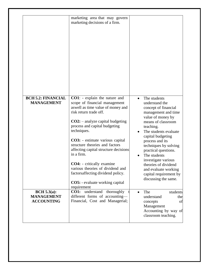|                                                       | marketing area that may govern<br>marketing decisions of a firm.                                                                                                                                                                                                                                                                                                                                                                                                                                                                |
|-------------------------------------------------------|---------------------------------------------------------------------------------------------------------------------------------------------------------------------------------------------------------------------------------------------------------------------------------------------------------------------------------------------------------------------------------------------------------------------------------------------------------------------------------------------------------------------------------|
| <b>BCH 5.2: FINANCIAL</b><br><b>MANAGEMENT</b>        | <b>CO1</b> : - explain the nature and<br>scope of financial management<br>aswell as time value of money and<br>risk return trade off.<br>$CO2$ : - analyze capital budgeting<br>process and capital budgeting<br>techniques.<br>CO3: - estimate various capital<br>structure theories and factors<br>affecting capital structure decisions<br>in a firm.<br><b>CO4:</b> - critically examine<br>various theories of dividend and<br>factors affecting dividend policy.<br><b>CO5:</b> - evaluate working capital<br>requirement |
| BCH 5.3(a):<br><b>MANAGEMENT</b><br><b>ACCOUNTING</b> | <b>CO1:</b> understand thoroughly<br>different forms of accounting-<br>Financial, Cost and Managerial;                                                                                                                                                                                                                                                                                                                                                                                                                          |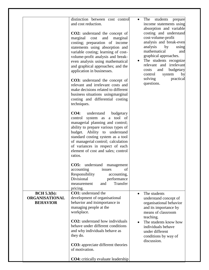|                                                         | distinction between cost control<br>and cost reduction.<br><b>CO2:</b> understand the concept of<br>marginal<br>cost<br>and<br>marginal<br>costing; preparation of income<br>statements using absorption and<br>variable costing; learning of cost-<br>volume-profit analysis and break-<br>even analysis using mathematical<br>and graphical approaches; and the<br>application in businesses. | students<br>The<br>prepare<br>$\bullet$<br>income statements using<br>absorption and variable<br>costing and understand<br>cost-volume-profit<br>analysis and break-even<br>analysis<br>by<br>using<br>mathematical<br>and<br>graphical approaches.<br>The students recognize<br>relevant and irrelevant<br>and<br>budgetary<br>costs<br>by<br>control<br>system |
|---------------------------------------------------------|-------------------------------------------------------------------------------------------------------------------------------------------------------------------------------------------------------------------------------------------------------------------------------------------------------------------------------------------------------------------------------------------------|------------------------------------------------------------------------------------------------------------------------------------------------------------------------------------------------------------------------------------------------------------------------------------------------------------------------------------------------------------------|
|                                                         | <b>CO3:</b> understand the concept of<br>relevant and irrelevant costs and<br>make decisions related to different<br>business situations using marginal<br>costing and differential costing<br>techniques.                                                                                                                                                                                      | solving<br>practical<br>questions.                                                                                                                                                                                                                                                                                                                               |
|                                                         | <b>CO4:</b><br>understand<br>budgetary<br>system as<br>a tool of<br>control<br>managerial planning and control;<br>ability to prepare various types of<br>budget. Ability to understand<br>standard costing system as a tool<br>of managerial control; calculation<br>of variances in respect of each<br>element of cost and sales; control<br>ratios.                                          |                                                                                                                                                                                                                                                                                                                                                                  |
|                                                         | CO5:<br>understand management<br>of<br>accounting<br>issues<br>Responsibility<br>accounting,<br>Divisional<br>performance<br>Transfer<br>and<br>measurement<br>pricing.                                                                                                                                                                                                                         |                                                                                                                                                                                                                                                                                                                                                                  |
| BCH 5.3(b):<br><b>ORGANISATIONAL</b><br><b>BEHAVIOR</b> | <b>CO1:</b> understand the<br>development of organisational<br>behavior and itsimportance in<br>managing people at the<br>workplace.<br><b>CO2</b> : understand how individuals<br>behave under different conditions<br>and why individuals behave as<br>they do.<br><b>CO3:</b> appreciate different theories                                                                                  | The students<br>understand concept of<br>organisational behavior<br>and its importance by<br>means of classroom<br>teaching.<br>The students know how<br>individuals behave<br>under different<br>conditions by way of<br>discussion.                                                                                                                            |
|                                                         | of motivation.<br><b>CO4:</b> critically evaluate leadership                                                                                                                                                                                                                                                                                                                                    |                                                                                                                                                                                                                                                                                                                                                                  |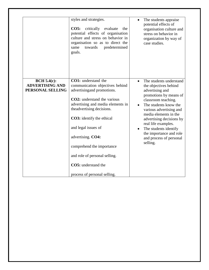|                                                                  | styles and strategies.<br>CO5:<br>critically evaluate<br>the<br>potential effects of organisation<br>culture and stress on behavior in<br>organisation so as to direct the<br>towards<br>predetermined<br>same<br>goals.                                                                                                                                                                                     | The students appraise<br>potential effects of<br>organisation culture and<br>stress on behavior in<br>organization by way of<br>case studies.                                                                                                                                                                                                                |
|------------------------------------------------------------------|--------------------------------------------------------------------------------------------------------------------------------------------------------------------------------------------------------------------------------------------------------------------------------------------------------------------------------------------------------------------------------------------------------------|--------------------------------------------------------------------------------------------------------------------------------------------------------------------------------------------------------------------------------------------------------------------------------------------------------------------------------------------------------------|
| <b>BCH 5.4(c):</b><br><b>ADVERTISING AND</b><br>PERSONAL SELLING | CO1: understand the<br>communication objectives behind<br>advertising and promotions.<br><b>CO2</b> : understand the various<br>advertising and media elements in<br>the advertising decisions.<br><b>CO3</b> : identify the ethical<br>and legal issues of<br>advertising. CO4:<br>comprehend the importance<br>and role of personal selling.<br><b>CO5:</b> understand the<br>process of personal selling. | The students understand<br>the objectives behind<br>advertising and<br>promotions by means of<br>classroom teaching.<br>The students know the<br>various advertising and<br>media elements in the<br>advertising decisions by<br>real life examples.<br>The students identify<br>$\bullet$<br>the importance and role<br>and process of personal<br>selling. |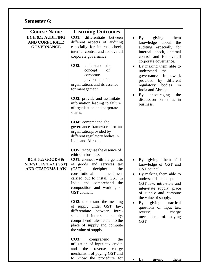### **Semester 6:**

| <b>Course Name</b>                                                                 | <b>Learning Outcomes</b>                                                                                                                                                                                                                                                     |                                                                                                                                                                                                                                                                                                  |
|------------------------------------------------------------------------------------|------------------------------------------------------------------------------------------------------------------------------------------------------------------------------------------------------------------------------------------------------------------------------|--------------------------------------------------------------------------------------------------------------------------------------------------------------------------------------------------------------------------------------------------------------------------------------------------|
| <b>BCH 6.1: AUDITING</b><br><b>AND CORPORATE</b><br><b>GOVERNANCE</b>              | differentiate<br><b>CO1:</b><br>between<br>different aspects of auditing<br>especially for internal check,<br>internal control and for overall<br>corporate governance.                                                                                                      | <b>By</b><br>giving<br>them<br>$\bullet$<br>knowledge<br>about<br>the<br>auditing especially for<br>internal check, internal<br>control and for overall                                                                                                                                          |
|                                                                                    | CO2:<br>understand<br>the<br>of<br>concept<br>corporate<br>governance in<br>organisations and its essence<br>for management.<br><b>CO3:</b> provide and assimilate<br>information leading to failure<br>oforganisation and corporate<br>scams.<br><b>CO4:</b> comprehend the | corporate governance.<br>By making them able to<br>$\bullet$<br>understand<br>the<br>framework<br>governance<br>provided<br>by<br>different<br>regulatory bodies<br>in<br>India and Abroad.<br>$\mathbf{B}\mathbf{y}$<br>encouraging<br>the<br>$\bullet$<br>discussion on ethics in<br>business. |
|                                                                                    | governance framework for an<br>organisationprovided by<br>different regulatory bodies in<br>India and Abroad.<br><b>CO5:</b> recognise the essence of<br>ethics in business.                                                                                                 |                                                                                                                                                                                                                                                                                                  |
| <b>BCH 6.2: GOODS &amp;</b><br><b>SERVICES TAX (GST)</b><br><b>AND CUSTOMS LAW</b> | <b>CO1:</b> connect with the genesis<br>of goods and services<br>tax<br>$(GST)$ ,<br>decipher<br>the<br>constitutional<br>amendment<br>carried out to install GST in<br>India and comprehend the<br>composition and working of<br>GST council.                               | By giving<br>full<br>them<br>$\bullet$<br>knowledge of GST and<br>GST council.<br>By making them able to<br>understand concept of<br>GST law, intra-state and<br>inter-state supply, place<br>of supply and compute<br>the value of supply.                                                      |
|                                                                                    | <b>CO2:</b> understand the meaning<br>of supply under GST law,<br>differentiate<br>between<br>intra-<br>state and inter-state supply,<br>comprehend rules related to the<br>place of supply and compute<br>the value of supply.                                              | giving<br>By<br>practical<br>questions of input tax,<br>reverse<br>charge<br>mechanism<br>of<br>paying<br>GST.                                                                                                                                                                                   |
|                                                                                    | <b>CO3:</b><br>comprehend<br>the<br>utilization of input tax credit,<br>the<br>and<br>reverse<br>charge<br>mechanism of paying GST and<br>to know the procedure for                                                                                                          | $\mathbf{B}\mathbf{v}$<br>giving<br>them                                                                                                                                                                                                                                                         |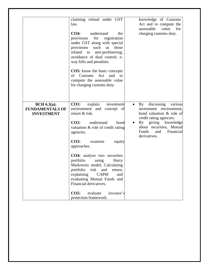|                                                               | claiming refund under GST<br>law.<br><b>CO4:</b><br>understand<br>the<br>for<br>registration<br>provisions<br>under GST along with special<br>provisions<br>such as those<br>related to<br>anti-profiteering;<br>avoidance of dual control; e-<br>way bills and penalties.<br><b>CO5:</b> know the basic concepts<br>of Customs<br>and<br>Act<br>to<br>compute the assessable value<br>for charging customs duty.                                             | knowledge of Customs<br>Act and to compute the<br>assessable<br>value<br>for<br>charging customs duty.                                                                                                                            |
|---------------------------------------------------------------|---------------------------------------------------------------------------------------------------------------------------------------------------------------------------------------------------------------------------------------------------------------------------------------------------------------------------------------------------------------------------------------------------------------------------------------------------------------|-----------------------------------------------------------------------------------------------------------------------------------------------------------------------------------------------------------------------------------|
| BCH $6.3(a)$ :<br><b>FUNDAMENTALS OF</b><br><b>INVESTMENT</b> | <b>CO1:</b><br>explain<br>investment<br>environment and concept of<br>return & risk.<br>$CO2$ :<br>understand<br>bond<br>valuation $\&$ role of credit rating<br>agencies.<br><b>CO3:</b><br>examine<br>equity<br>approaches.<br><b>CO4:</b> analyze two securities<br>portfolio<br>using<br>Harry<br>Markowitz model, Calculating<br>portfolio risk and return,<br>explaining<br><b>CAPM</b><br>and<br>evaluating Mutual Funds and<br>Financial derivatives. | By discussing various<br>$\bullet$<br>investment environment,<br>bond valuation & role of<br>credit rating agencies.<br>By giving knowledge<br>$\bullet$<br>about securities, Mutual<br>Funds<br>Financial<br>and<br>derivatives. |